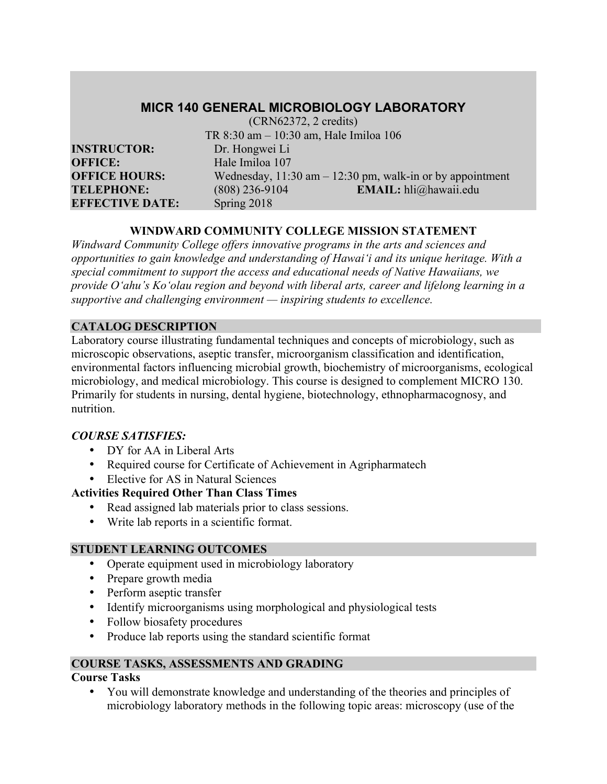## **MICR 140 GENERAL MICROBIOLOGY LABORATORY**

|                        | $(CRN62372, 2 \text{ credits})$        |                                                              |
|------------------------|----------------------------------------|--------------------------------------------------------------|
|                        | TR 8:30 am - 10:30 am, Hale Imiloa 106 |                                                              |
| <b>INSTRUCTOR:</b>     | Dr. Hongwei Li                         |                                                              |
| <b>OFFICE:</b>         | Hale Imiloa 107                        |                                                              |
| <b>OFFICE HOURS:</b>   |                                        | Wednesday, $11:30$ am $-12:30$ pm, walk-in or by appointment |
| <b>TELEPHONE:</b>      | $(808)$ 236-9104                       | <b>EMAIL</b> : $hli@hawaii.edu$                              |
| <b>EFFECTIVE DATE:</b> | Spring 2018                            |                                                              |

### **WINDWARD COMMUNITY COLLEGE MISSION STATEMENT**

*Windward Community College offers innovative programs in the arts and sciences and opportunities to gain knowledge and understanding of Hawai'i and its unique heritage. With a special commitment to support the access and educational needs of Native Hawaiians, we provide O'ahu's Ko'olau region and beyond with liberal arts, career and lifelong learning in a supportive and challenging environment — inspiring students to excellence.*

### **CATALOG DESCRIPTION**

Laboratory course illustrating fundamental techniques and concepts of microbiology, such as microscopic observations, aseptic transfer, microorganism classification and identification, environmental factors influencing microbial growth, biochemistry of microorganisms, ecological microbiology, and medical microbiology. This course is designed to complement MICRO 130. Primarily for students in nursing, dental hygiene, biotechnology, ethnopharmacognosy, and nutrition.

### *COURSE SATISFIES:*

- DY for AA in Liberal Arts
- Required course for Certificate of Achievement in Agripharmatech
- Elective for AS in Natural Sciences

### **Activities Required Other Than Class Times**

- Read assigned lab materials prior to class sessions.
- Write lab reports in a scientific format.

### **STUDENT LEARNING OUTCOMES**

- Operate equipment used in microbiology laboratory
- Prepare growth media
- Perform aseptic transfer
- Identify microorganisms using morphological and physiological tests
- Follow biosafety procedures
- Produce lab reports using the standard scientific format

### **COURSE TASKS, ASSESSMENTS AND GRADING**

### **Course Tasks**

• You will demonstrate knowledge and understanding of the theories and principles of microbiology laboratory methods in the following topic areas: microscopy (use of the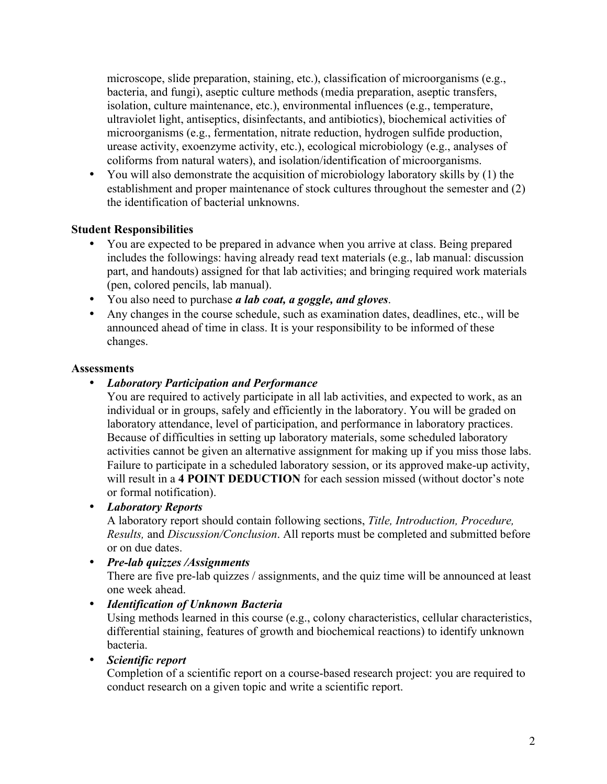microscope, slide preparation, staining, etc.), classification of microorganisms (e.g., bacteria, and fungi), aseptic culture methods (media preparation, aseptic transfers, isolation, culture maintenance, etc.), environmental influences (e.g., temperature, ultraviolet light, antiseptics, disinfectants, and antibiotics), biochemical activities of microorganisms (e.g., fermentation, nitrate reduction, hydrogen sulfide production, urease activity, exoenzyme activity, etc.), ecological microbiology (e.g., analyses of coliforms from natural waters), and isolation/identification of microorganisms.

• You will also demonstrate the acquisition of microbiology laboratory skills by (1) the establishment and proper maintenance of stock cultures throughout the semester and (2) the identification of bacterial unknowns.

## **Student Responsibilities**

- You are expected to be prepared in advance when you arrive at class. Being prepared includes the followings: having already read text materials (e.g., lab manual: discussion part, and handouts) assigned for that lab activities; and bringing required work materials (pen, colored pencils, lab manual).
- You also need to purchase *a lab coat, a goggle, and gloves*.
- Any changes in the course schedule, such as examination dates, deadlines, etc., will be announced ahead of time in class. It is your responsibility to be informed of these changes.

### **Assessments**

• *Laboratory Participation and Performance*

You are required to actively participate in all lab activities, and expected to work, as an individual or in groups, safely and efficiently in the laboratory. You will be graded on laboratory attendance, level of participation, and performance in laboratory practices. Because of difficulties in setting up laboratory materials, some scheduled laboratory activities cannot be given an alternative assignment for making up if you miss those labs. Failure to participate in a scheduled laboratory session, or its approved make-up activity, will result in a **4 POINT DEDUCTION** for each session missed (without doctor's note or formal notification).

• *Laboratory Reports*

A laboratory report should contain following sections, *Title, Introduction, Procedure, Results,* and *Discussion/Conclusion*. All reports must be completed and submitted before or on due dates.

• *Pre-lab quizzes /Assignments*

There are five pre-lab quizzes / assignments, and the quiz time will be announced at least one week ahead.

### • *Identification of Unknown Bacteria*

Using methods learned in this course (e.g., colony characteristics, cellular characteristics, differential staining, features of growth and biochemical reactions) to identify unknown bacteria.

• *Scientific report*

Completion of a scientific report on a course-based research project: you are required to conduct research on a given topic and write a scientific report.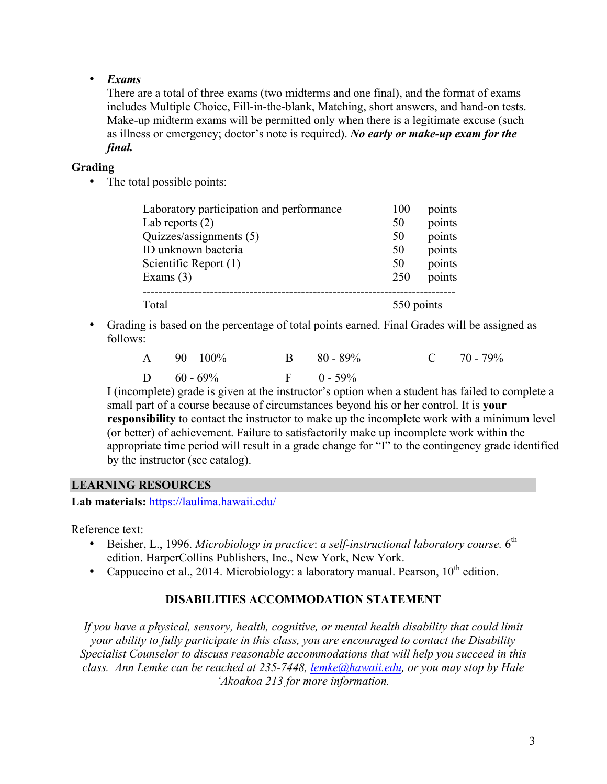# • *Exams*

There are a total of three exams (two midterms and one final), and the format of exams includes Multiple Choice, Fill-in-the-blank, Matching, short answers, and hand-on tests. Make-up midterm exams will be permitted only when there is a legitimate excuse (such as illness or emergency; doctor's note is required). *No early or make-up exam for the final.*

### **Grading**

• The total possible points:

| Laboratory participation and performance | 100        | points |
|------------------------------------------|------------|--------|
| Lab reports $(2)$                        | 50         | points |
| Quizzes/assignments (5)                  | 50         | points |
| ID unknown bacteria                      | 50         | points |
| Scientific Report $(1)$                  | 50         | points |
| Exams $(3)$                              | 250        | points |
|                                          |            |        |
| Total                                    | 550 points |        |

• Grading is based on the percentage of total points earned. Final Grades will be assigned as follows:

| A $90-100\%$  | $B = 80 - 89\%$ | $C = 70 - 79\%$ |
|---------------|-----------------|-----------------|
| D $60 - 69\%$ | $F = 0 - 59\%$  |                 |

I (incomplete) grade is given at the instructor's option when a student has failed to complete a small part of a course because of circumstances beyond his or her control. It is **your responsibility** to contact the instructor to make up the incomplete work with a minimum level (or better) of achievement. Failure to satisfactorily make up incomplete work within the appropriate time period will result in a grade change for "I" to the contingency grade identified by the instructor (see catalog).

# **LEARNING RESOURCES**

**Lab materials:** https://laulima.hawaii.edu/

Reference text:

- Beisher, L., 1996. *Microbiology in practice: a self-instructional laboratory course.* 6<sup>th</sup> edition. HarperCollins Publishers, Inc., New York, New York.
- Cappuccino et al., 2014. Microbiology: a laboratory manual. Pearson,  $10^{th}$  edition.

# **DISABILITIES ACCOMMODATION STATEMENT**

*If you have a physical, sensory, health, cognitive, or mental health disability that could limit your ability to fully participate in this class, you are encouraged to contact the Disability Specialist Counselor to discuss reasonable accommodations that will help you succeed in this class. Ann Lemke can be reached at 235-7448, lemke@hawaii.edu, or you may stop by Hale 'Akoakoa 213 for more information.*